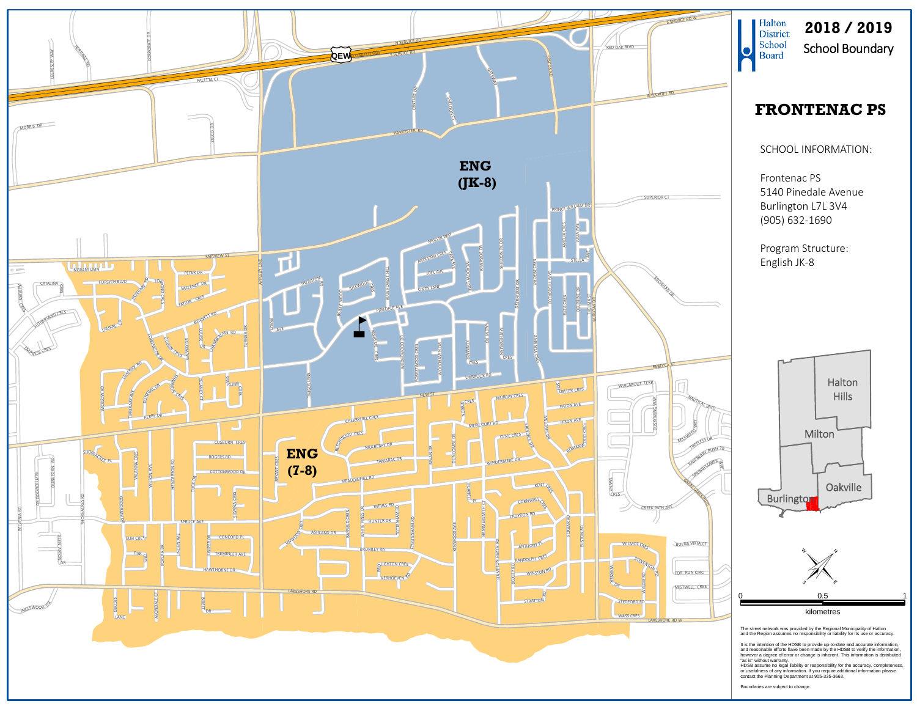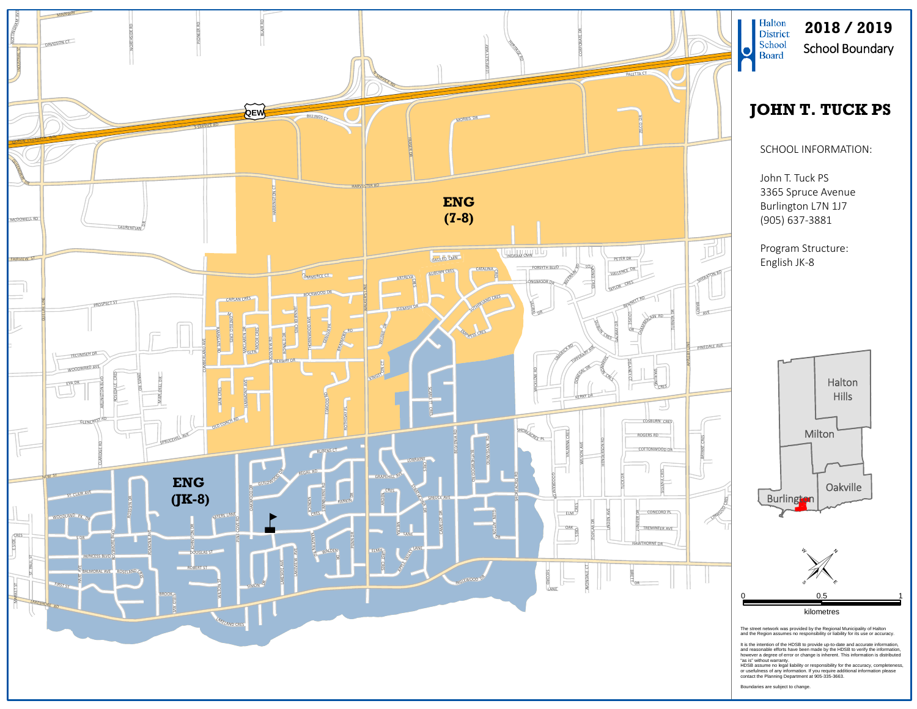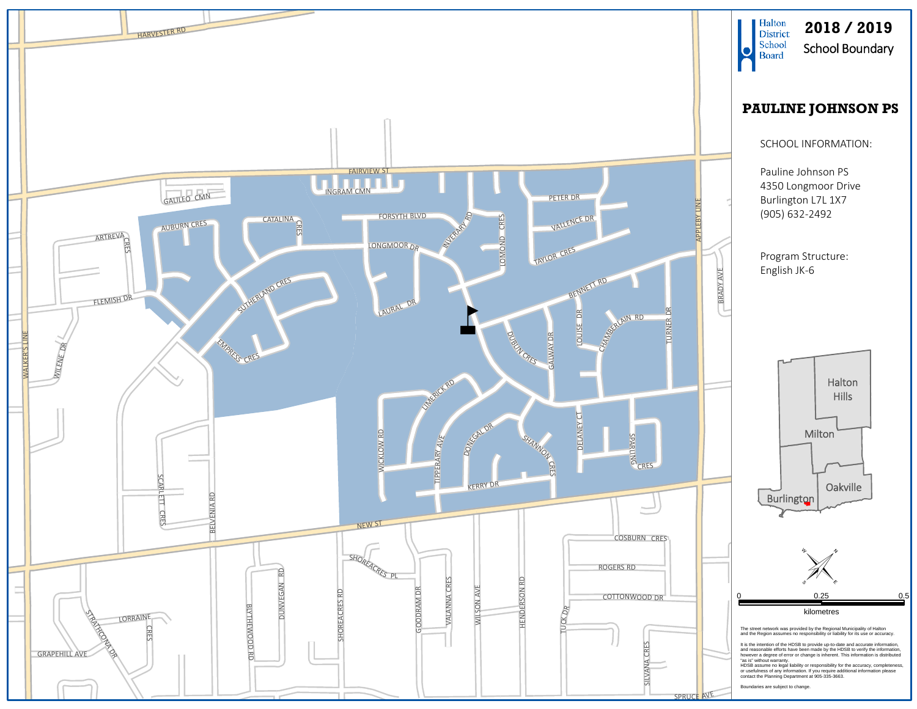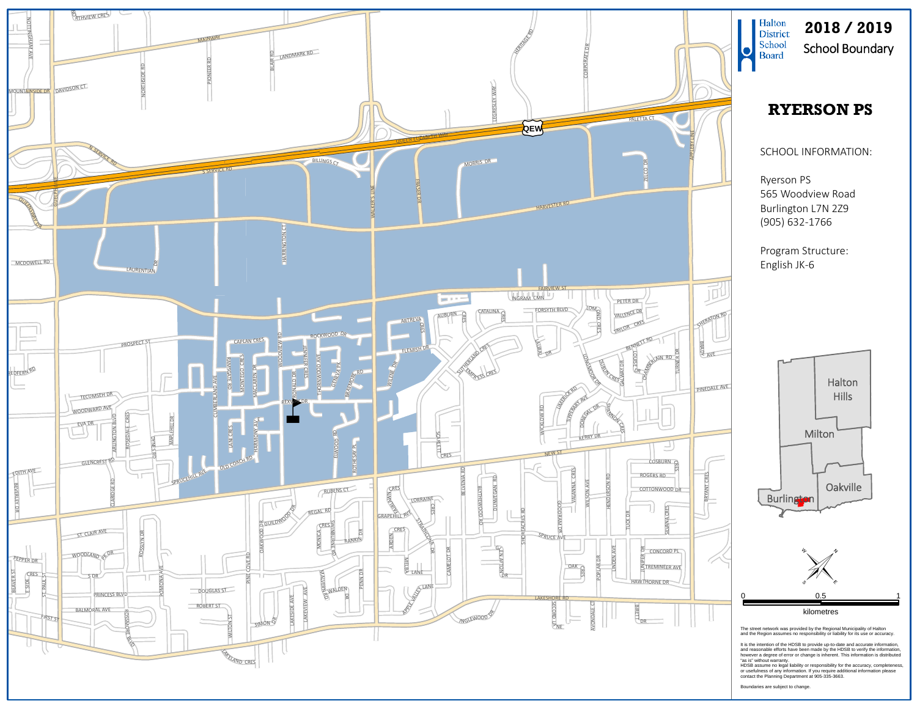

**2018 / 2019**School Boundary

## **RYERSON PS**

## SCHOOL INFORMATION:

Ryerson PS 565 Woodview Road Burlington L7N 2Z9 (905) 632‐1766

Program Structure: English JK‐6



The street network was provided by the Regional Municipality of Halton and the Region assumes no responsibility or liability for its use or accuracy.

It is the intention of the HDSB to provide up-to-date and accurate information,<br>and reasonable efforts have been made by the HDSB to verify the information,<br>however a degree of error or change is inherent. This information

"as is" without warranty.<br>HDSB assume no legal liability or responsibility for the accuracy, completeness,<br>or usefuhess of any information. If you require additional information please<br>contact the Planning Department at 90